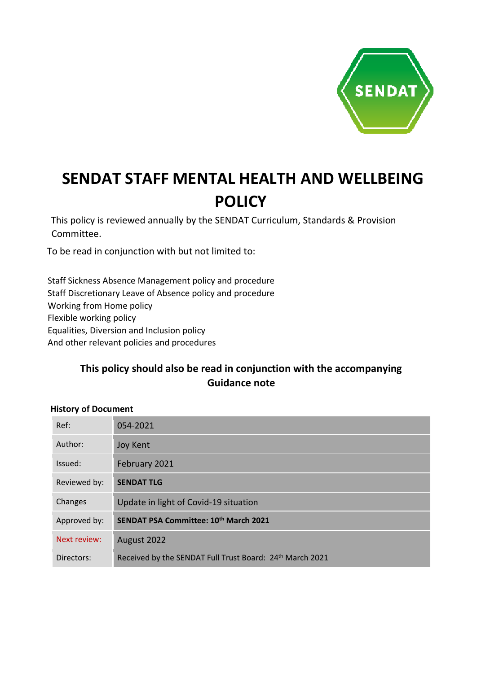

# **SENDAT STAFF MENTAL HEALTH AND WELLBEING POLICY**

This policy is reviewed annually by the SENDAT Curriculum, Standards & Provision Committee.

To be read in conjunction with but not limited to:

Staff Sickness Absence Management policy and procedure Staff Discretionary Leave of Absence policy and procedure Working from Home policy Flexible working policy Equalities, Diversion and Inclusion policy And other relevant policies and procedures

## **This policy should also be read in conjunction with the accompanying Guidance note**

#### **History of Document**

| Ref:         | 054-2021                                                             |
|--------------|----------------------------------------------------------------------|
| Author:      | <b>Joy Kent</b>                                                      |
| Issued:      | February 2021                                                        |
| Reviewed by: | <b>SENDAT TLG</b>                                                    |
| Changes      | Update in light of Covid-19 situation                                |
| Approved by: | SENDAT PSA Committee: 10th March 2021                                |
| Next review: | August 2022                                                          |
| Directors:   | Received by the SENDAT Full Trust Board: 24 <sup>th</sup> March 2021 |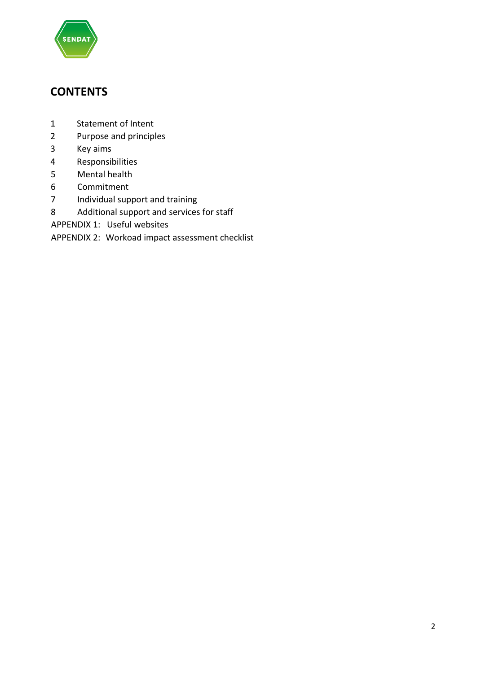

## **CONTENTS**

- Statement of Intent
- Purpose and principles
- Key aims
- Responsibilities
- Mental health
- Commitment
- Individual support and training
- Additional support and services for staff
- APPENDIX 1: Useful websites

APPENDIX 2: Workoad impact assessment checklist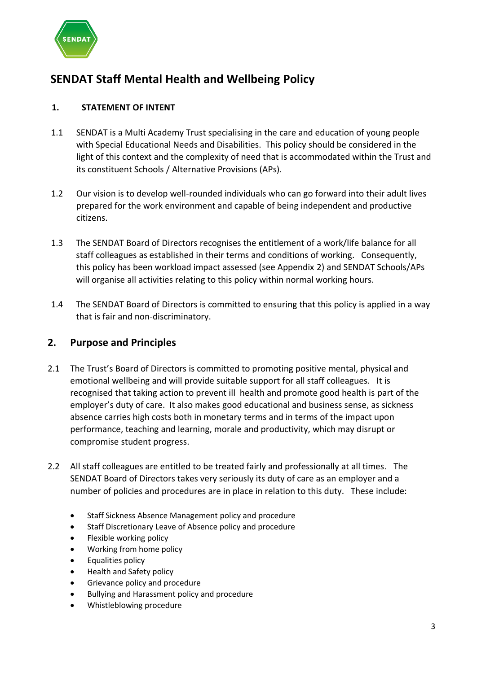# **SENDAT Staff Mental Health and Wellbeing Policy**

## **1. STATEMENT OF INTENT**

- 1.1 SENDAT is a Multi Academy Trust specialising in the care and education of young people with Special Educational Needs and Disabilities. This policy should be considered in the light of this context and the complexity of need that is accommodated within the Trust and its constituent Schools / Alternative Provisions (APs).
- 1.2 Our vision is to develop well-rounded individuals who can go forward into their adult lives prepared for the work environment and capable of being independent and productive citizens.
- 1.3 The SENDAT Board of Directors recognises the entitlement of a work/life balance for all staff colleagues as established in their terms and conditions of working. Consequently, this policy has been workload impact assessed (see Appendix 2) and SENDAT Schools/APs will organise all activities relating to this policy within normal working hours.
- 1.4 The SENDAT Board of Directors is committed to ensuring that this policy is applied in a way that is fair and non-discriminatory.

## **2. Purpose and Principles**

- 2.1 The Trust's Board of Directors is committed to promoting positive mental, physical and emotional wellbeing and will provide suitable support for all staff colleagues. It is recognised that taking action to prevent ill health and promote good health is part of the employer's duty of care. It also makes good educational and business sense, as sickness absence carries high costs both in monetary terms and in terms of the impact upon performance, teaching and learning, morale and productivity, which may disrupt or compromise student progress.
- 2.2 All staff colleagues are entitled to be treated fairly and professionally at all times. The SENDAT Board of Directors takes very seriously its duty of care as an employer and a number of policies and procedures are in place in relation to this duty. These include:
	- Staff Sickness Absence Management policy and procedure
	- Staff Discretionary Leave of Absence policy and procedure
	- Flexible working policy
	- Working from home policy
	- Equalities policy
	- Health and Safety policy
	- Grievance policy and procedure
	- Bullying and Harassment policy and procedure
	- Whistleblowing procedure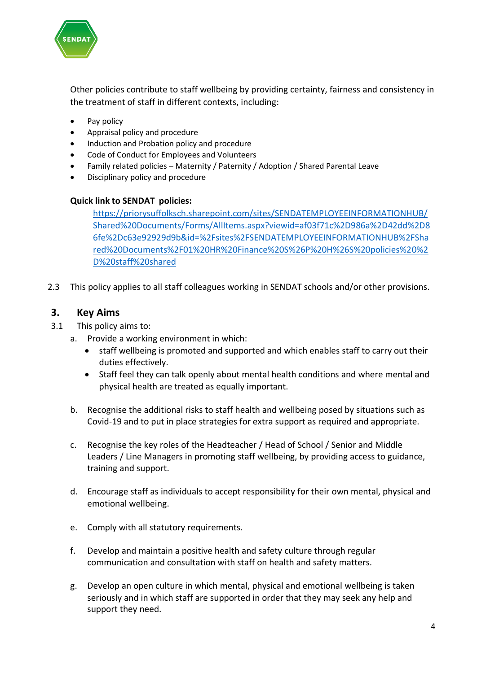

Other policies contribute to staff wellbeing by providing certainty, fairness and consistency in the treatment of staff in different contexts, including:

- Pay policy
- Appraisal policy and procedure
- Induction and Probation policy and procedure
- Code of Conduct for Employees and Volunteers
- Family related policies Maternity / Paternity / Adoption / Shared Parental Leave
- Disciplinary policy and procedure

#### **Quick link to SENDAT policies:**

[https://priorysuffolksch.sharepoint.com/sites/SENDATEMPLOYEEINFORMATIONHUB/](https://priorysuffolksch.sharepoint.com/sites/SENDATEMPLOYEEINFORMATIONHUB/Shared%20Documents/Forms/AllItems.aspx?viewid=af03f71c%2D986a%2D42dd%2D86fe%2Dc63e92929d9b&id=%2Fsites%2FSENDATEMPLOYEEINFORMATIONHUB%2FShared%20Documents%2F01%20HR%20Finance%20S%26P%20H%26S%20policies%20%2D%20staff%20shared) [Shared%20Documents/Forms/AllItems.aspx?viewid=af03f71c%2D986a%2D42dd%2D8](https://priorysuffolksch.sharepoint.com/sites/SENDATEMPLOYEEINFORMATIONHUB/Shared%20Documents/Forms/AllItems.aspx?viewid=af03f71c%2D986a%2D42dd%2D86fe%2Dc63e92929d9b&id=%2Fsites%2FSENDATEMPLOYEEINFORMATIONHUB%2FShared%20Documents%2F01%20HR%20Finance%20S%26P%20H%26S%20policies%20%2D%20staff%20shared) [6fe%2Dc63e92929d9b&id=%2Fsites%2FSENDATEMPLOYEEINFORMATIONHUB%2FSha](https://priorysuffolksch.sharepoint.com/sites/SENDATEMPLOYEEINFORMATIONHUB/Shared%20Documents/Forms/AllItems.aspx?viewid=af03f71c%2D986a%2D42dd%2D86fe%2Dc63e92929d9b&id=%2Fsites%2FSENDATEMPLOYEEINFORMATIONHUB%2FShared%20Documents%2F01%20HR%20Finance%20S%26P%20H%26S%20policies%20%2D%20staff%20shared) [red%20Documents%2F01%20HR%20Finance%20S%26P%20H%26S%20policies%20%2](https://priorysuffolksch.sharepoint.com/sites/SENDATEMPLOYEEINFORMATIONHUB/Shared%20Documents/Forms/AllItems.aspx?viewid=af03f71c%2D986a%2D42dd%2D86fe%2Dc63e92929d9b&id=%2Fsites%2FSENDATEMPLOYEEINFORMATIONHUB%2FShared%20Documents%2F01%20HR%20Finance%20S%26P%20H%26S%20policies%20%2D%20staff%20shared) [D%20staff%20shared](https://priorysuffolksch.sharepoint.com/sites/SENDATEMPLOYEEINFORMATIONHUB/Shared%20Documents/Forms/AllItems.aspx?viewid=af03f71c%2D986a%2D42dd%2D86fe%2Dc63e92929d9b&id=%2Fsites%2FSENDATEMPLOYEEINFORMATIONHUB%2FShared%20Documents%2F01%20HR%20Finance%20S%26P%20H%26S%20policies%20%2D%20staff%20shared)

2.3 This policy applies to all staff colleagues working in SENDAT schools and/or other provisions.

## **3. Key Aims**

- 3.1 This policy aims to:
	- a. Provide a working environment in which:
		- staff wellbeing is promoted and supported and which enables staff to carry out their duties effectively.
		- Staff feel they can talk openly about mental health conditions and where mental and physical health are treated as equally important.
	- b. Recognise the additional risks to staff health and wellbeing posed by situations such as Covid-19 and to put in place strategies for extra support as required and appropriate.
	- c. Recognise the key roles of the Headteacher / Head of School / Senior and Middle Leaders / Line Managers in promoting staff wellbeing, by providing access to guidance, training and support.
	- d. Encourage staff as individuals to accept responsibility for their own mental, physical and emotional wellbeing.
	- e. Comply with all statutory requirements.
	- f. Develop and maintain a positive health and safety culture through regular communication and consultation with staff on health and safety matters.
	- g. Develop an open culture in which mental, physical and emotional wellbeing is taken seriously and in which staff are supported in order that they may seek any help and support they need.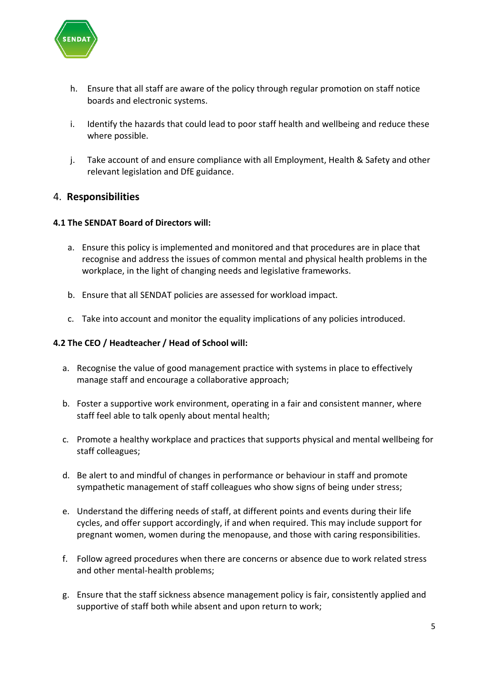

- h. Ensure that all staff are aware of the policy through regular promotion on staff notice boards and electronic systems.
- i. Identify the hazards that could lead to poor staff health and wellbeing and reduce these where possible.
- j. Take account of and ensure compliance with all Employment, Health & Safety and other relevant legislation and DfE guidance.

#### 4. **Responsibilities**

#### **4.1 The SENDAT Board of Directors will:**

- a. Ensure this policy is implemented and monitored and that procedures are in place that recognise and address the issues of common mental and physical health problems in the workplace, in the light of changing needs and legislative frameworks.
- b. Ensure that all SENDAT policies are assessed for workload impact.
- c. Take into account and monitor the equality implications of any policies introduced.

#### **4.2 The CEO / Headteacher / Head of School will:**

- a. Recognise the value of good management practice with systems in place to effectively manage staff and encourage a collaborative approach;
- b. Foster a supportive work environment, operating in a fair and consistent manner, where staff feel able to talk openly about mental health;
- c. Promote a healthy workplace and practices that supports physical and mental wellbeing for staff colleagues;
- d. Be alert to and mindful of changes in performance or behaviour in staff and promote sympathetic management of staff colleagues who show signs of being under stress;
- e. Understand the differing needs of staff, at different points and events during their life cycles, and offer support accordingly, if and when required. This may include support for pregnant women, women during the menopause, and those with caring responsibilities.
- f. Follow agreed procedures when there are concerns or absence due to work related stress and other mental-health problems;
- g. Ensure that the staff sickness absence management policy is fair, consistently applied and supportive of staff both while absent and upon return to work;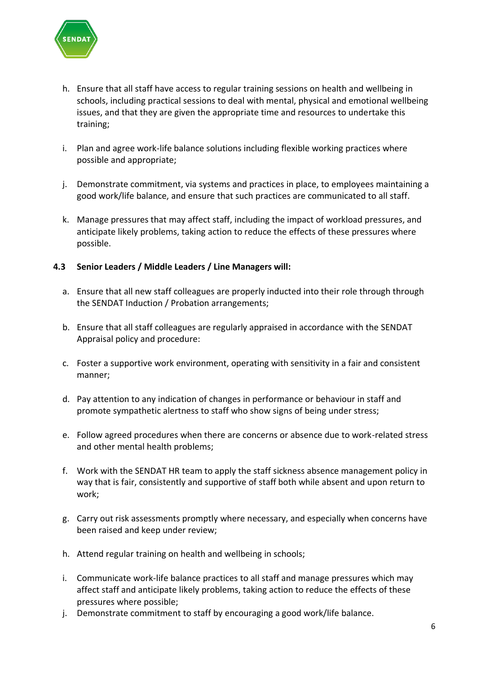

- h. Ensure that all staff have access to regular training sessions on health and wellbeing in schools, including practical sessions to deal with mental, physical and emotional wellbeing issues, and that they are given the appropriate time and resources to undertake this training;
- i. Plan and agree work-life balance solutions including flexible working practices where possible and appropriate;
- j. Demonstrate commitment, via systems and practices in place, to employees maintaining a good work/life balance, and ensure that such practices are communicated to all staff.
- k. Manage pressures that may affect staff, including the impact of workload pressures, and anticipate likely problems, taking action to reduce the effects of these pressures where possible.

#### **4.3 Senior Leaders / Middle Leaders / Line Managers will:**

- a. Ensure that all new staff colleagues are properly inducted into their role through through the SENDAT Induction / Probation arrangements;
- b. Ensure that all staff colleagues are regularly appraised in accordance with the SENDAT Appraisal policy and procedure:
- c. Foster a supportive work environment, operating with sensitivity in a fair and consistent manner;
- d. Pay attention to any indication of changes in performance or behaviour in staff and promote sympathetic alertness to staff who show signs of being under stress;
- e. Follow agreed procedures when there are concerns or absence due to work-related stress and other mental health problems;
- f. Work with the SENDAT HR team to apply the staff sickness absence management policy in way that is fair, consistently and supportive of staff both while absent and upon return to work;
- g. Carry out risk assessments promptly where necessary, and especially when concerns have been raised and keep under review;
- h. Attend regular training on health and wellbeing in schools;
- i. Communicate work-life balance practices to all staff and manage pressures which may affect staff and anticipate likely problems, taking action to reduce the effects of these pressures where possible;
- j. Demonstrate commitment to staff by encouraging a good work/life balance.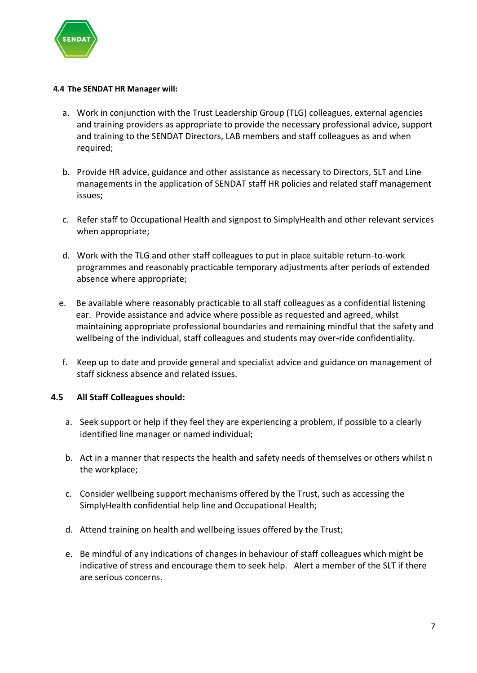

#### **4.4 The SENDAT HR Manager will:**

- a. Work in conjunction with the Trust Leadership Group (TLG) colleagues, external agencies and training providers as appropriate to provide the necessary professional advice, support and training to the SENDAT Directors, LAB members and staff colleagues as and when required;
- b. Provide HR advice, guidance and other assistance as necessary to Directors, SLT and Line managements in the application of SENDAT staff HR policies and related staff management issues;
- c. Refer staff to Occupational Health and signpost to SimplyHealth and other relevant services when appropriate;
- d. Work with the TLG and other staff colleagues to put in place suitable return-to-work programmes and reasonably practicable temporary adjustments after periods of extended absence where appropriate;
- e. Be available where reasonably practicable to all staff colleagues as a confidential listening ear. Provide assistance and advice where possible as requested and agreed, whilst maintaining appropriate professional boundaries and remaining mindful that the safety and wellbeing of the individual, staff colleagues and students may over-ride confidentiality.
- f. Keep up to date and provide general and specialist advice and guidance on management of staff sickness absence and related issues.

#### **4.5 All Staff Colleagues should:**

- a. Seek support or help if they feel they are experiencing a problem, if possible to a clearly identified line manager or named individual;
- b. Act in a manner that respects the health and safety needs of themselves or others whilst n the workplace;
- c. Consider wellbeing support mechanisms offered by the Trust, such as accessing the SimplyHealth confidential help line and Occupational Health;
- d. Attend training on health and wellbeing issues offered by the Trust;
- e. Be mindful of any indications of changes in behaviour of staff colleagues which might be indicative of stress and encourage them to seek help. Alert a member of the SLT if there are serious concerns.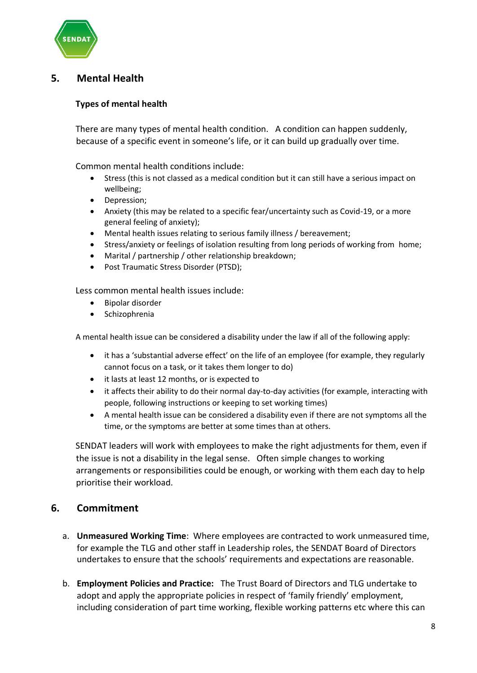

## **5. Mental Health**

## **Types of mental health**

There are many types of mental health condition. A condition can happen suddenly, because of a specific event in someone's life, or it can build up gradually over time.

Common mental health conditions include:

- Stress (this is not classed as a medical condition but it can still have a serious impact on wellbeing;
- Depression;
- Anxiety (this may be related to a specific fear/uncertainty such as Covid-19, or a more general feeling of anxiety);
- Mental health issues relating to serious family illness / bereavement;
- Stress/anxiety or feelings of isolation resulting from long periods of working from home;
- Marital / partnership / other relationship breakdown;
- Post Traumatic Stress Disorder (PTSD);

Less common mental health issues include:

- Bipolar disorder
- Schizophrenia

A mental health issue can be considered a disability under the law if all of the following apply:

- it has a 'substantial adverse effect' on the life of an employee (for example, they regularly cannot focus on a task, or it takes them longer to do)
- it lasts at least 12 months, or is expected to
- it affects their ability to do their normal day-to-day activities (for example, interacting with people, following instructions or keeping to set working times)
- A mental health issue can be considered a disability even if there are not symptoms all the time, or the symptoms are better at some times than at others.

SENDAT leaders will work with employees to make the right adjustments for them, even if the issue is not a disability in the legal sense. Often simple changes to working arrangements or responsibilities could be enough, or working with them each day to help prioritise their workload.

## **6. Commitment**

- a. **Unmeasured Working Time**: Where employees are contracted to work unmeasured time, for example the TLG and other staff in Leadership roles, the SENDAT Board of Directors undertakes to ensure that the schools' requirements and expectations are reasonable.
- b. **Employment Policies and Practice:** The Trust Board of Directors and TLG undertake to adopt and apply the appropriate policies in respect of 'family friendly' employment, including consideration of part time working, flexible working patterns etc where this can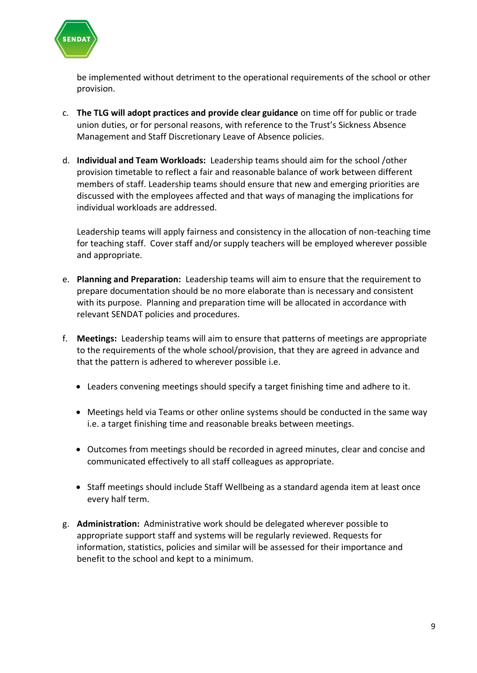

be implemented without detriment to the operational requirements of the school or other provision.

- c. **The TLG will adopt practices and provide clear guidance** on time off for public or trade union duties, or for personal reasons, with reference to the Trust's Sickness Absence Management and Staff Discretionary Leave of Absence policies.
- d. **Individual and Team Workloads:** Leadership teams should aim for the school /other provision timetable to reflect a fair and reasonable balance of work between different members of staff. Leadership teams should ensure that new and emerging priorities are discussed with the employees affected and that ways of managing the implications for individual workloads are addressed.

Leadership teams will apply fairness and consistency in the allocation of non-teaching time for teaching staff. Cover staff and/or supply teachers will be employed wherever possible and appropriate.

- e. **Planning and Preparation:** Leadership teams will aim to ensure that the requirement to prepare documentation should be no more elaborate than is necessary and consistent with its purpose. Planning and preparation time will be allocated in accordance with relevant SENDAT policies and procedures.
- f. **Meetings:** Leadership teams will aim to ensure that patterns of meetings are appropriate to the requirements of the whole school/provision, that they are agreed in advance and that the pattern is adhered to wherever possible i.e.
	- Leaders convening meetings should specify a target finishing time and adhere to it.
	- Meetings held via Teams or other online systems should be conducted in the same way i.e. a target finishing time and reasonable breaks between meetings.
	- Outcomes from meetings should be recorded in agreed minutes, clear and concise and communicated effectively to all staff colleagues as appropriate.
	- Staff meetings should include Staff Wellbeing as a standard agenda item at least once every half term.
- g. **Administration:** Administrative work should be delegated wherever possible to appropriate support staff and systems will be regularly reviewed. Requests for information, statistics, policies and similar will be assessed for their importance and benefit to the school and kept to a minimum.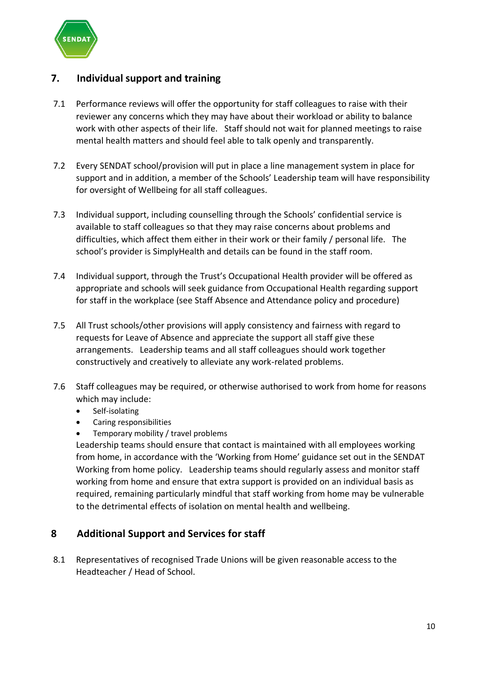

## **7. Individual support and training**

- 7.1 Performance reviews will offer the opportunity for staff colleagues to raise with their reviewer any concerns which they may have about their workload or ability to balance work with other aspects of their life. Staff should not wait for planned meetings to raise mental health matters and should feel able to talk openly and transparently.
- 7.2 Every SENDAT school/provision will put in place a line management system in place for support and in addition, a member of the Schools' Leadership team will have responsibility for oversight of Wellbeing for all staff colleagues.
- 7.3 Individual support, including counselling through the Schools' confidential service is available to staff colleagues so that they may raise concerns about problems and difficulties, which affect them either in their work or their family / personal life. The school's provider is SimplyHealth and details can be found in the staff room.
- 7.4 Individual support, through the Trust's Occupational Health provider will be offered as appropriate and schools will seek guidance from Occupational Health regarding support for staff in the workplace (see Staff Absence and Attendance policy and procedure)
- 7.5 All Trust schools/other provisions will apply consistency and fairness with regard to requests for Leave of Absence and appreciate the support all staff give these arrangements. Leadership teams and all staff colleagues should work together constructively and creatively to alleviate any work-related problems.
- 7.6 Staff colleagues may be required, or otherwise authorised to work from home for reasons which may include:
	- Self-isolating
	- Caring responsibilities
	- Temporary mobility / travel problems

Leadership teams should ensure that contact is maintained with all employees working from home, in accordance with the 'Working from Home' guidance set out in the SENDAT Working from home policy. Leadership teams should regularly assess and monitor staff working from home and ensure that extra support is provided on an individual basis as required, remaining particularly mindful that staff working from home may be vulnerable to the detrimental effects of isolation on mental health and wellbeing.

## **8 Additional Support and Services for staff**

8.1 Representatives of recognised Trade Unions will be given reasonable access to the Headteacher / Head of School.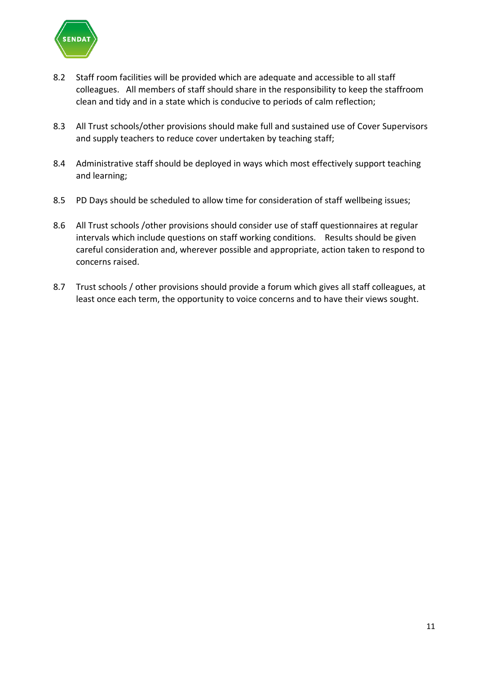

- 8.2 Staff room facilities will be provided which are adequate and accessible to all staff colleagues. All members of staff should share in the responsibility to keep the staffroom clean and tidy and in a state which is conducive to periods of calm reflection;
- 8.3 All Trust schools/other provisions should make full and sustained use of Cover Supervisors and supply teachers to reduce cover undertaken by teaching staff;
- 8.4 Administrative staff should be deployed in ways which most effectively support teaching and learning;
- 8.5 PD Days should be scheduled to allow time for consideration of staff wellbeing issues;
- 8.6 All Trust schools /other provisions should consider use of staff questionnaires at regular intervals which include questions on staff working conditions. Results should be given careful consideration and, wherever possible and appropriate, action taken to respond to concerns raised.
- 8.7 Trust schools / other provisions should provide a forum which gives all staff colleagues, at least once each term, the opportunity to voice concerns and to have their views sought.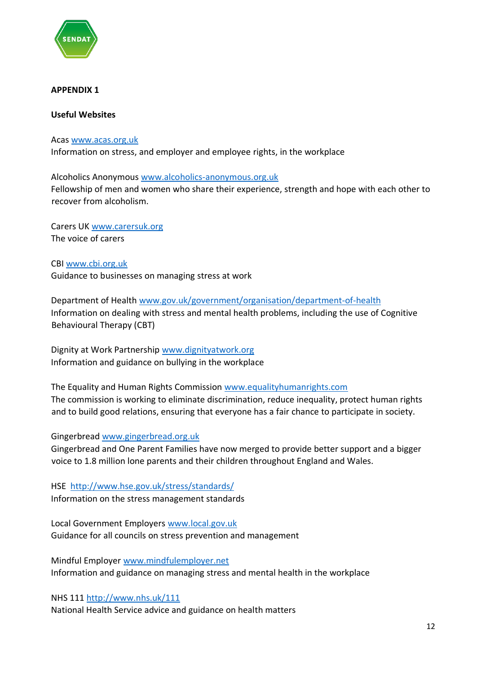

#### **APPENDIX 1**

#### **Useful Websites**

#### Acas [www.acas.org.uk](http://www.acas.org.uk/)

Information on stress, and employer and employee rights, in the workplace

Alcoholics Anonymous [www.alcoholics-anonymous.org.uk](http://www.alcoholics-anonymous.org.uk/)  Fellowship of men and women who share their experience, strength and hope with each other to recover from alcoholism.

Carers UK [www.carersuk.org](http://www.carersuk.org/) The voice of carers

CBI [www.cbi.org.uk](http://www.cbi.org.uk/) Guidance to businesses on managing stress at work

Department of Healt[h www.gov.uk/government/organisation/department-of-health](http://www.gov.uk/government/organisation/department-of-health)  Information on dealing with stress and mental health problems, including the use of Cognitive Behavioural Therapy (CBT)

Dignity at Work Partnership [www.dignityatwork.org](http://www.dignityatwork.org/)  Information and guidance on bullying in the workplace

The Equality and Human Rights Commission [www.equalityhumanrights.com](http://www.equalityhumanrights.com/) The commission is working to eliminate discrimination, reduce inequality, protect human rights and to build good relations, ensuring that everyone has a fair chance to participate in society.

Gingerbread [www.gingerbread.org.uk](http://www.gingerbread.org.uk/) 

Gingerbread and One Parent Families have now merged to provide better support and a bigger voice to 1.8 million lone parents and their children throughout England and Wales.

HSE <http://www.hse.gov.uk/stress/standards/> Information on the stress management standards

Local Government Employers [www.local.gov.uk](http://www.local.gov.uk/)  Guidance for all councils on stress prevention and management

Mindful Employer [www.mindfulemployer.net](http://www.mindfulemployer.net/)  Information and guidance on managing stress and mental health in the workplace

NHS 111<http://www.nhs.uk/111>

National Health Service advice and guidance on health matters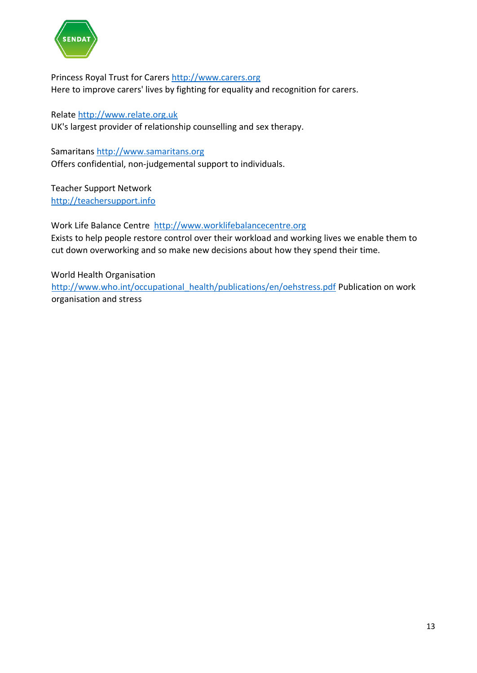

Princess Royal Trust for Carers [http://www.carers.org](http://www.carers.org/)  Here to improve carers' lives by fighting for equality and recognition for carers.

Relate [http://www.relate.org.uk](http://www.relate.org.uk/) UK's largest provider of relationship counselling and sex therapy.

Samaritans [http://www.samaritans.org](http://www.samaritans.org/) Offers confidential, non-judgemental support to individuals.

Teacher Support Network [http://teachersupport.info](http://teachersupport.info/)

Work Life Balance Centre [http://www.worklifebalancecentre.org](http://www.worklifebalancecentre.org/) Exists to help people restore control over their workload and working lives we enable them to cut down overworking and so make new decisions about how they spend their time.

World Health Organisation [http://www.who.int/occupational\\_health/publications/en/oehstress.pdf](http://www.who.int/occupational_health/publications/en/oehstress.pdf) Publication on work organisation and stress